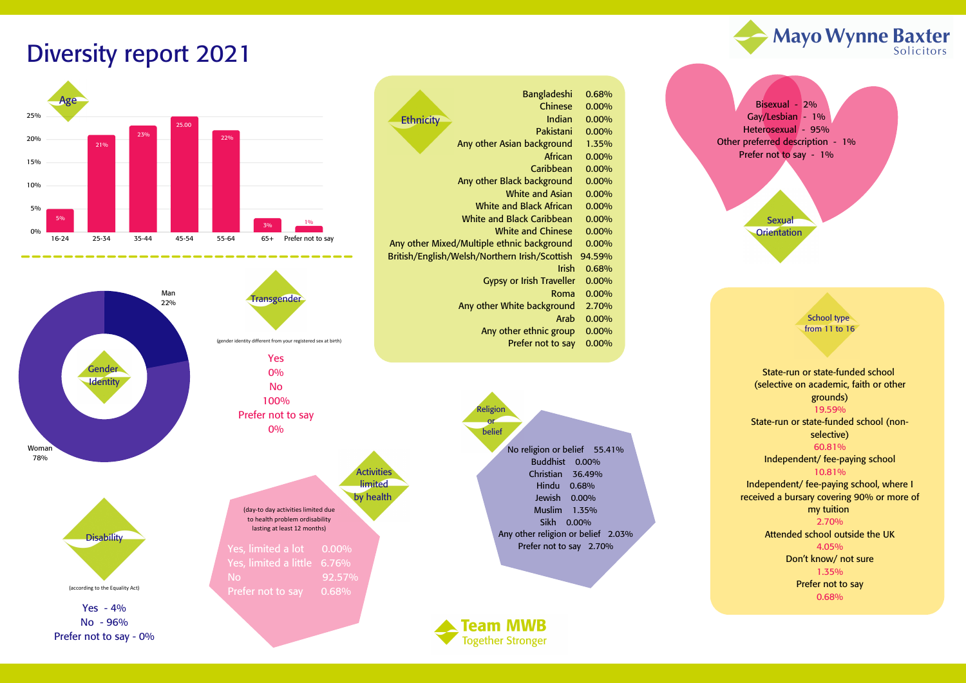Bangladeshi 0.68% Chinese 0.00% Indian 0.00% Pakistani 0.00% Any other Asian background 1.35% African 0.00% Caribbean 0.00% Any other Black background 0.00% White and Asian 0.00% White and Black African 0.00% White and Black Caribbean 0.00% White and Chinese 0.00% Any other Mixed/Multiple ethnic background 0.00% British/English/Welsh/Northern Irish/Scottish 94.59% Irish 0.68% Gypsy or Irish Traveller 0.00% Roma 0.00% Any other White background 2.70% Arab 0.00% Any other ethnic group 0.00% Prefer not to say 0.00% **Ethnicity** 

Yes - 4% No - 96% Prefer not to say - 0%

**Activities limited** by health

No 92.57% Prefer not to say 0.68%

## Diversity report 2021

(according to the Equality Act)

Bisexual - 2% Gay/Lesbian - 1% Heterosexual - 95% Other preferred description - 1% Prefer not to say - 1%

> **Sexual Orientation**

Religion or belief No religion or belief 55.41% Buddhist 0.00% Christian 36.49% Hindu 0.68% Jewish 0.00% Muslim 1.35% Sikh 0.00% Any other religion or belief 2.03% Prefer not to say 2.70%





State-run or state-funded school (selective on academic, faith or other grounds) 19.59%



State-run or state-funded school (nonselective) 60.81%



Independent/ fee-paying school 10.81%

Independent/ fee-paying school, where I received a bursary covering 90% or more of my tuition

2.70%

Attended school outside the UK 4.05% Don't know/ not sure 1.35% Prefer not to say

0.68%

School type from 11 to 16